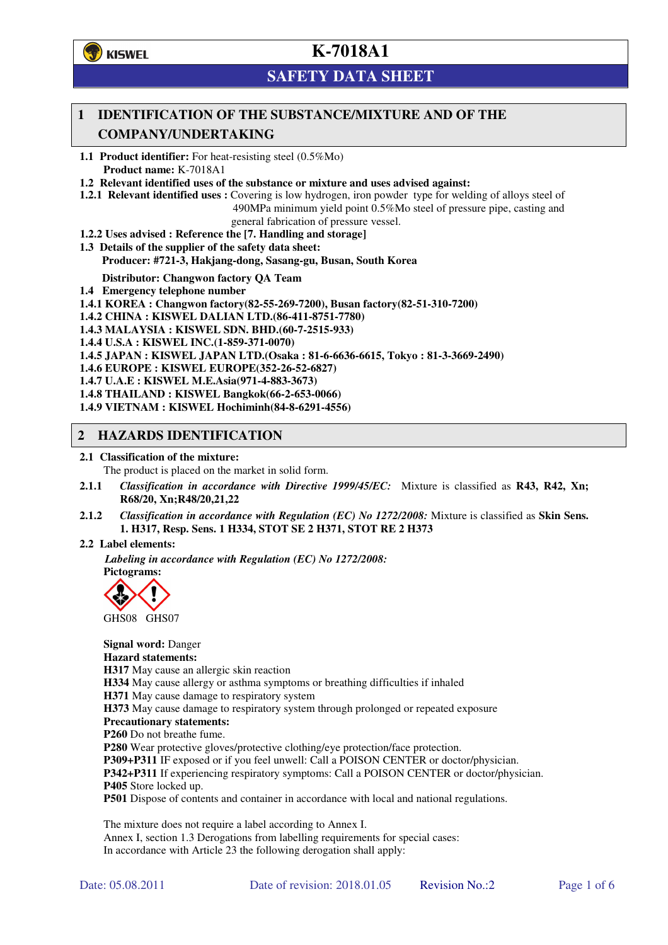

# **SAFETY DATA SHEET**

## **1 IDENTIFICATION OF THE SUBSTANCE/MIXTURE AND OF THE COMPANY/UNDERTAKING**

**1.1 Product identifier:** For heat-resisting steel (0.5%Mo) **Product name:** K-7018A1

**1.2 Relevant identified uses of the substance or mixture and uses advised against:**

- **1.2.1 Relevant identified uses :** Covering is low hydrogen, iron powder type for welding of alloys steel of
	- 490MPa minimum yield point 0.5%Mo steel of pressure pipe, casting and general fabrication of pressure vessel.
- **1.2.2 Uses advised : Reference the [7. Handling and storage]**
- **1.3 Details of the supplier of the safety data sheet: Producer: #721-3, Hakjang-dong, Sasang-gu, Busan, South Korea**

**Distributor: Changwon factory QA Team** 

- **1.4 Emergency telephone number**
- **1.4.1 KOREA : Changwon factory(82-55-269-7200), Busan factory(82-51-310-7200)**

**1.4.2 CHINA : KISWEL DALIAN LTD.(86-411-8751-7780)** 

**1.4.3 MALAYSIA : KISWEL SDN. BHD.(60-7-2515-933)** 

- **1.4.4 U.S.A : KISWEL INC.(1-859-371-0070)**
- **1.4.5 JAPAN : KISWEL JAPAN LTD.(Osaka : 81-6-6636-6615, Tokyo : 81-3-3669-2490)**
- **1.4.6 EUROPE : KISWEL EUROPE(352-26-52-6827)**
- **1.4.7 U.A.E : KISWEL M.E.Asia(971-4-883-3673)**
- **1.4.8 THAILAND : KISWEL Bangkok(66-2-653-0066)**
- **1.4.9 VIETNAM : KISWEL Hochiminh(84-8-6291-4556)**

### **2 HAZARDS IDENTIFICATION**

### **2.1 Classification of the mixture:**

The product is placed on the market in solid form.

- **2.1.1** *Classification in accordance with Directive 1999/45/EC:* Mixture is classified as **R43, R42, Xn; R68/20, Xn;R48/20,21,22**
- **2.1.2** *Classification in accordance with Regulation (EC) No 1272/2008:* Mixture is classified as **Skin Sens. 1. H317, Resp. Sens. 1 H334, STOT SE 2 H371, STOT RE 2 H373**

### **2.2 Label elements:**

*Labeling in accordance with Regulation (EC) No 1272/2008:*  **Pictograms:** 



GHS08 GHS07

**Signal word:** Danger **Hazard statements: H317** May cause an allergic skin reaction **H334** May cause allergy or asthma symptoms or breathing difficulties if inhaled **H371** May cause damage to respiratory system **H373** May cause damage to respiratory system through prolonged or repeated exposure **Precautionary statements: P260** Do not breathe fume. **P280** Wear protective gloves/protective clothing/eye protection/face protection. **P309+P311** IF exposed or if you feel unwell: Call a POISON CENTER or doctor/physician. **P342+P311** If experiencing respiratory symptoms: Call a POISON CENTER or doctor/physician. **P405** Store locked up. **P501** Dispose of contents and container in accordance with local and national regulations.

The mixture does not require a label according to Annex I. Annex I, section 1.3 Derogations from labelling requirements for special cases: In accordance with Article 23 the following derogation shall apply: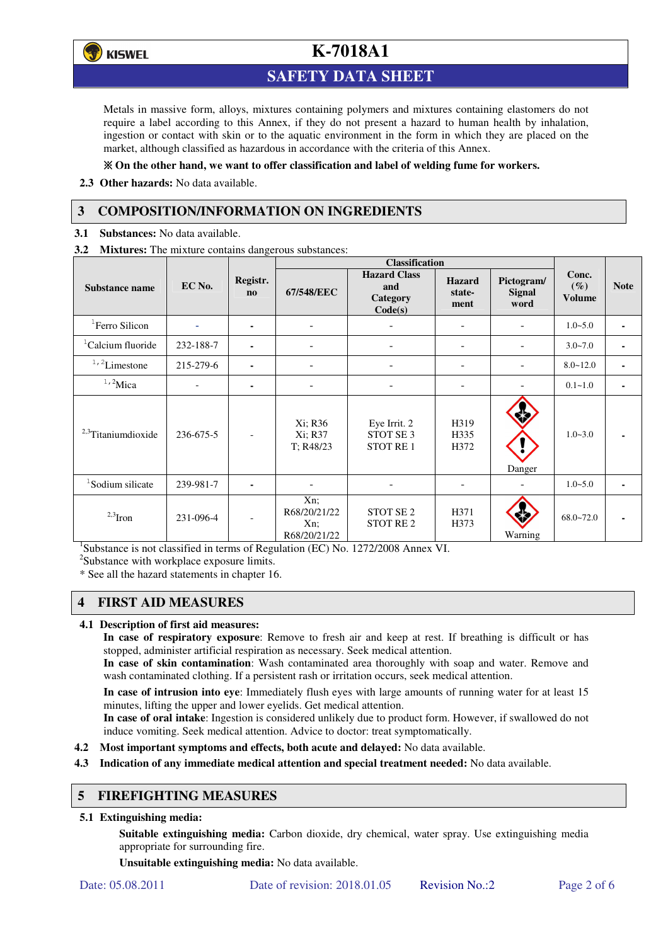

## **SAFETY DATA SHEET**

Metals in massive form, alloys, mixtures containing polymers and mixtures containing elastomers do not require a label according to this Annex, if they do not present a hazard to human health by inhalation, ingestion or contact with skin or to the aquatic environment in the form in which they are placed on the market, although classified as hazardous in accordance with the criteria of this Annex.

### **On the other hand, we want to offer classification and label of welding fume for workers.**

**2.3 Other hazards:** No data available.

## **3 COMPOSITION/INFORMATION ON INGREDIENTS**

**3.1 Substances:** No data available.

**3.2 Mixtures:** The mixture contains dangerous substances:

|                                |           |                                    | <b>Classification</b>                      |                                                         |                                 |                                     |                                  |             |
|--------------------------------|-----------|------------------------------------|--------------------------------------------|---------------------------------------------------------|---------------------------------|-------------------------------------|----------------------------------|-------------|
| Substance name                 | EC No.    | Registr.<br>$\mathbf{n}\mathbf{o}$ | 67/548/EEC                                 | <b>Hazard Class</b><br>and<br>Category<br>Code(s)       | <b>Hazard</b><br>state-<br>ment | Pictogram/<br><b>Signal</b><br>word | Conc.<br>$(\%)$<br><b>Volume</b> | <b>Note</b> |
| <sup>1</sup> Ferro Silicon     |           | ۰                                  | $\qquad \qquad -$                          |                                                         | -                               |                                     | $1.0 - 5.0$                      | ٠           |
| <sup>1</sup> Calcium fluoride  | 232-188-7 | ٠                                  |                                            |                                                         | $\overline{\phantom{0}}$        |                                     | $3.0 - 7.0$                      |             |
| $1/2$ Limestone                | 215-279-6 | $\blacksquare$                     |                                            |                                                         | $\overline{\phantom{0}}$        |                                     | $8.0 - 12.0$                     |             |
| $1,2$ Mica                     |           |                                    |                                            |                                                         |                                 |                                     | $0.1 - 1.0$                      |             |
| <sup>2,3</sup> Titaniumdioxide | 236-675-5 | $\overline{\phantom{a}}$           | Xi; R36<br>Xi; R37<br>T: R48/23            | Eye Irrit. 2<br>STOT SE <sub>3</sub><br><b>STOT RE1</b> | H319<br>H335<br>H372            | Danger                              | $1.0 - 3.0$                      |             |
| <sup>1</sup> Sodium silicate   | 239-981-7 |                                    |                                            |                                                         |                                 |                                     | $1.0 - 5.0$                      |             |
| $2,3$ Iron                     | 231-096-4 | $\overline{a}$                     | Xn;<br>R68/20/21/22<br>Xn;<br>R68/20/21/22 | STOT SE <sub>2</sub><br><b>STOT RE2</b>                 | H371<br>H373                    | Warning                             | $68.0 - 72.0$                    |             |

<sup>1</sup>Substance is not classified in terms of Regulation (EC) No. 1272/2008 Annex VI.

<sup>2</sup>Substance with workplace exposure limits.

\* See all the hazard statements in chapter 16.

## **4 FIRST AID MEASURES**

### **4.1 Description of first aid measures:**

**In case of respiratory exposure**: Remove to fresh air and keep at rest. If breathing is difficult or has stopped, administer artificial respiration as necessary. Seek medical attention.

**In case of skin contamination**: Wash contaminated area thoroughly with soap and water. Remove and wash contaminated clothing. If a persistent rash or irritation occurs, seek medical attention.

 **In case of intrusion into eye**: Immediately flush eyes with large amounts of running water for at least 15 minutes, lifting the upper and lower eyelids. Get medical attention.

**In case of oral intake**: Ingestion is considered unlikely due to product form. However, if swallowed do not induce vomiting. Seek medical attention. Advice to doctor: treat symptomatically.

- **4.2 Most important symptoms and effects, both acute and delayed:** No data available.
- **4.3 Indication of any immediate medical attention and special treatment needed:** No data available.

## **5 FIREFIGHTING MEASURES**

### **5.1 Extinguishing media:**

**Suitable extinguishing media:** Carbon dioxide, dry chemical, water spray. Use extinguishing media appropriate for surrounding fire.

**Unsuitable extinguishing media:** No data available.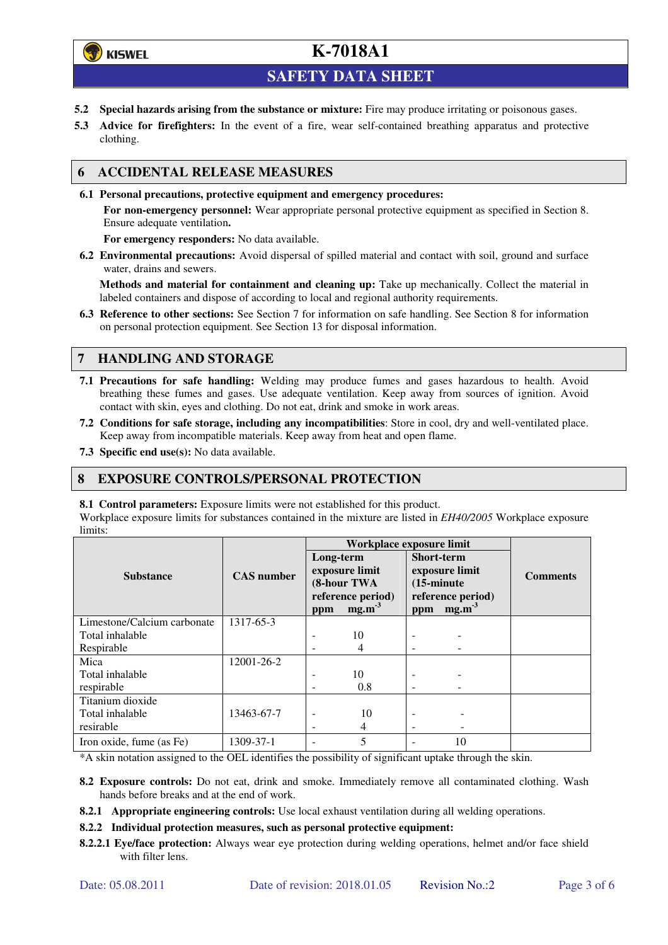# **()** KISWEL

# **K-7018A1**

**SAFETY DATA SHEET** 

- **5.2 Special hazards arising from the substance or mixture:** Fire may produce irritating or poisonous gases.
- **5.3 Advice for firefighters:** In the event of a fire, wear self-contained breathing apparatus and protective clothing.

## **6 ACCIDENTAL RELEASE MEASURES**

**6.1 Personal precautions, protective equipment and emergency procedures:** 

**For non-emergency personnel:** Wear appropriate personal protective equipment as specified in Section 8. Ensure adequate ventilation**.** 

**For emergency responders:** No data available.

**6.2 Environmental precautions:** Avoid dispersal of spilled material and contact with soil, ground and surface water, drains and sewers.

**Methods and material for containment and cleaning up:** Take up mechanically. Collect the material in labeled containers and dispose of according to local and regional authority requirements.

**6.3 Reference to other sections:** See Section 7 for information on safe handling. See Section 8 for information on personal protection equipment. See Section 13 for disposal information.

## **7 HANDLING AND STORAGE**

- **7.1 Precautions for safe handling:** Welding may produce fumes and gases hazardous to health. Avoid breathing these fumes and gases. Use adequate ventilation. Keep away from sources of ignition. Avoid contact with skin, eyes and clothing. Do not eat, drink and smoke in work areas.
- **7.2 Conditions for safe storage, including any incompatibilities**: Store in cool, dry and well-ventilated place. Keep away from incompatible materials. Keep away from heat and open flame.
- **7.3 Specific end use(s):** No data available.

### **8 EXPOSURE CONTROLS/PERSONAL PROTECTION**

### **8.1 Control parameters:** Exposure limits were not established for this product.

Workplace exposure limits for substances contained in the mixture are listed in *EH40/2005* Workplace exposure limits:

|                             |                   | Workplace exposure limit |                                                                |                                           |                                                    |                 |  |
|-----------------------------|-------------------|--------------------------|----------------------------------------------------------------|-------------------------------------------|----------------------------------------------------|-----------------|--|
| <b>Substance</b>            | <b>CAS</b> number | Long-term<br>ppm         | exposure limit<br>(8-hour TWA<br>reference period)<br>$mg.m-3$ | <b>Short-term</b><br>$(15\text{-minute})$ | exposure limit<br>reference period)<br>ppm $mg.m3$ | <b>Comments</b> |  |
| Limestone/Calcium carbonate | 1317-65-3         |                          |                                                                |                                           |                                                    |                 |  |
| Total inhalable             |                   |                          | 10                                                             |                                           |                                                    |                 |  |
| Respirable                  |                   |                          | 4                                                              |                                           |                                                    |                 |  |
| Mica                        | 12001-26-2        |                          |                                                                |                                           |                                                    |                 |  |
| Total inhalable             |                   | -                        | 10                                                             | ۰                                         |                                                    |                 |  |
| respirable                  |                   | ۰                        | 0.8                                                            | -                                         |                                                    |                 |  |
| Titanium dioxide            |                   |                          |                                                                |                                           |                                                    |                 |  |
| Total inhalable             | 13463-67-7        | ۰                        | 10                                                             | -                                         |                                                    |                 |  |
| resirable                   |                   | ٠                        | 4                                                              | -                                         |                                                    |                 |  |
| Iron oxide, fume (as Fe)    | 1309-37-1         |                          | 5                                                              |                                           | 10                                                 |                 |  |

\*A skin notation assigned to the OEL identifies the possibility of significant uptake through the skin.

- **8.2 Exposure controls:** Do not eat, drink and smoke. Immediately remove all contaminated clothing. Wash hands before breaks and at the end of work.
- **8.2.1 Appropriate engineering controls:** Use local exhaust ventilation during all welding operations.

### **8.2.2 Individual protection measures, such as personal protective equipment:**

**8.2.2.1 Eye/face protection:** Always wear eye protection during welding operations, helmet and/or face shield with filter lens.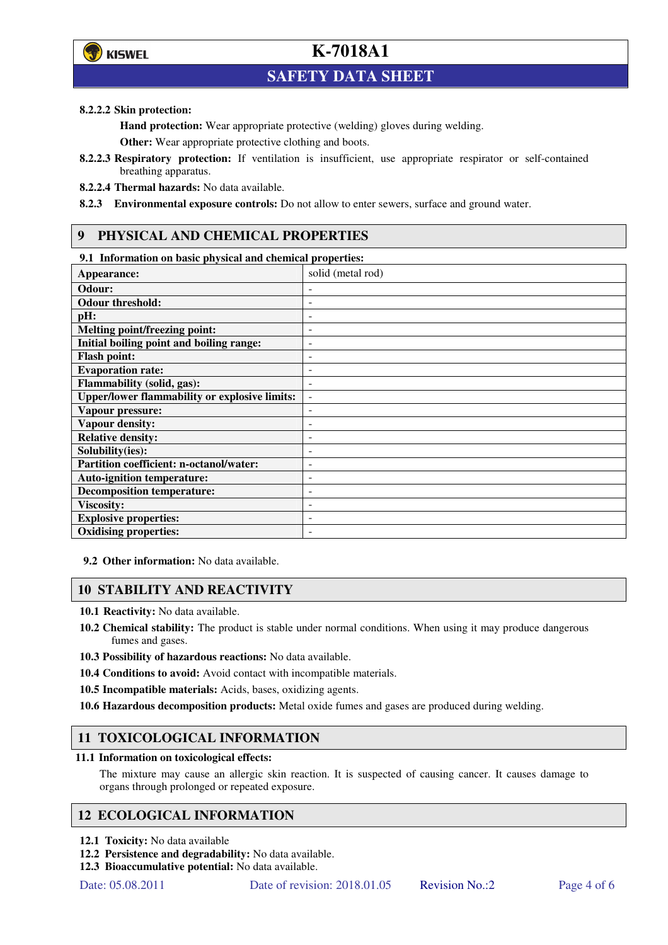

# **SAFETY DATA SHEET**

### **8.2.2.2 Skin protection:**

**Hand protection:** Wear appropriate protective (welding) gloves during welding.

**Other:** Wear appropriate protective clothing and boots.

- **8.2.2.3 Respiratory protection:** If ventilation is insufficient, use appropriate respirator or self-contained breathing apparatus.
- **8.2.2.4 Thermal hazards:** No data available.

**8.2.3 Environmental exposure controls:** Do not allow to enter sewers, surface and ground water.

## **9 PHYSICAL AND CHEMICAL PROPERTIES**

### **9.1 Information on basic physical and chemical properties:**

| Appearance:                                          | solid (metal rod)        |
|------------------------------------------------------|--------------------------|
| Odour:                                               |                          |
| <b>Odour threshold:</b>                              |                          |
| pH:                                                  |                          |
| Melting point/freezing point:                        | $\overline{a}$           |
| Initial boiling point and boiling range:             | ٠                        |
| <b>Flash point:</b>                                  | ۰                        |
| <b>Evaporation rate:</b>                             |                          |
| Flammability (solid, gas):                           | ۰                        |
| <b>Upper/lower flammability or explosive limits:</b> | $\overline{\phantom{m}}$ |
| Vapour pressure:                                     | ۰                        |
| <b>Vapour density:</b>                               | ٠                        |
| <b>Relative density:</b>                             | ۰                        |
| Solubility(ies):                                     |                          |
| Partition coefficient: n-octanol/water:              | ۰                        |
| <b>Auto-ignition temperature:</b>                    | -                        |
| <b>Decomposition temperature:</b>                    | ٠                        |
| <b>Viscosity:</b>                                    |                          |
| <b>Explosive properties:</b>                         |                          |
| <b>Oxidising properties:</b>                         |                          |

**9.2 Other information:** No data available.

## **10 STABILITY AND REACTIVITY**

**10.1 Reactivity:** No data available.

- **10.2 Chemical stability:** The product is stable under normal conditions. When using it may produce dangerous fumes and gases.
- **10.3 Possibility of hazardous reactions:** No data available.
- **10.4 Conditions to avoid:** Avoid contact with incompatible materials.
- **10.5 Incompatible materials:** Acids, bases, oxidizing agents.
- **10.6 Hazardous decomposition products:** Metal oxide fumes and gases are produced during welding.

## **11 TOXICOLOGICAL INFORMATION**

### **11.1 Information on toxicological effects:**

The mixture may cause an allergic skin reaction. It is suspected of causing cancer. It causes damage to organs through prolonged or repeated exposure.

## **12 ECOLOGICAL INFORMATION**

- **12.1 Toxicity:** No data available
- **12.2 Persistence and degradability:** No data available.
- **12.3 Bioaccumulative potential:** No data available.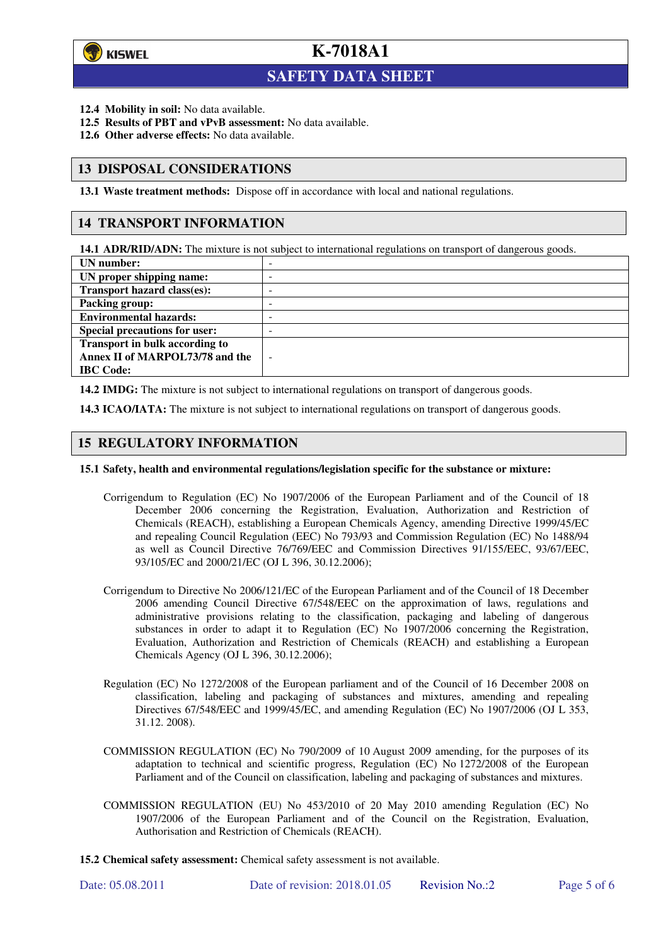

l

# **K-7018A1**

# **SAFETY DATA SHEET**

- **12.4 Mobility in soil:** No data available.
- **12.5 Results of PBT and vPvB assessment:** No data available.
- **12.6 Other adverse effects:** No data available.

### **13 DISPOSAL CONSIDERATIONS**

**13.1 Waste treatment methods:** Dispose off in accordance with local and national regulations.

### **14 TRANSPORT INFORMATION**

**14.1 ADR/RID/ADN:** The mixture is not subject to international regulations on transport of dangerous goods.

| UN number:                            | -                        |
|---------------------------------------|--------------------------|
| UN proper shipping name:              | -                        |
| <b>Transport hazard class(es):</b>    | ۰                        |
| Packing group:                        | ۰                        |
| <b>Environmental hazards:</b>         | -                        |
| <b>Special precautions for user:</b>  | -                        |
| <b>Transport in bulk according to</b> |                          |
| Annex II of MARPOL73/78 and the       | $\overline{\phantom{a}}$ |
| <b>IBC</b> Code:                      |                          |
|                                       |                          |

**14.2 IMDG:** The mixture is not subject to international regulations on transport of dangerous goods.

**14.3 ICAO/IATA:** The mixture is not subject to international regulations on transport of dangerous goods.

### **15 REGULATORY INFORMATION**

#### **15.1 Safety, health and environmental regulations/legislation specific for the substance or mixture:**

- Corrigendum to Regulation (EC) No 1907/2006 of the European Parliament and of the Council of 18 December 2006 concerning the Registration, Evaluation, Authorization and Restriction of Chemicals (REACH), establishing a European Chemicals Agency, amending Directive 1999/45/EC and repealing Council Regulation (EEC) No 793/93 and Commission Regulation (EC) No 1488/94 as well as Council Directive 76/769/EEC and Commission Directives 91/155/EEC, 93/67/EEC, 93/105/EC and 2000/21/EC (OJ L 396, 30.12.2006);
- Corrigendum to Directive No 2006/121/EC of the European Parliament and of the Council of 18 December 2006 amending Council Directive 67/548/EEC on the approximation of laws, regulations and administrative provisions relating to the classification, packaging and labeling of dangerous substances in order to adapt it to Regulation (EC) No 1907/2006 concerning the Registration, Evaluation, Authorization and Restriction of Chemicals (REACH) and establishing a European Chemicals Agency (OJ L 396, 30.12.2006);
- Regulation (EC) No 1272/2008 of the European parliament and of the Council of 16 December 2008 on classification, labeling and packaging of substances and mixtures, amending and repealing Directives 67/548/EEC and 1999/45/EC, and amending Regulation (EC) No 1907/2006 (OJ L 353, 31.12. 2008).
- COMMISSION REGULATION (EC) No 790/2009 of 10 August 2009 amending, for the purposes of its adaptation to technical and scientific progress, Regulation (EC) No 1272/2008 of the European Parliament and of the Council on classification, labeling and packaging of substances and mixtures.
- COMMISSION REGULATION (EU) No 453/2010 of 20 May 2010 amending Regulation (EC) No 1907/2006 of the European Parliament and of the Council on the Registration, Evaluation, Authorisation and Restriction of Chemicals (REACH).
- **15.2 Chemical safety assessment:** Chemical safety assessment is not available.